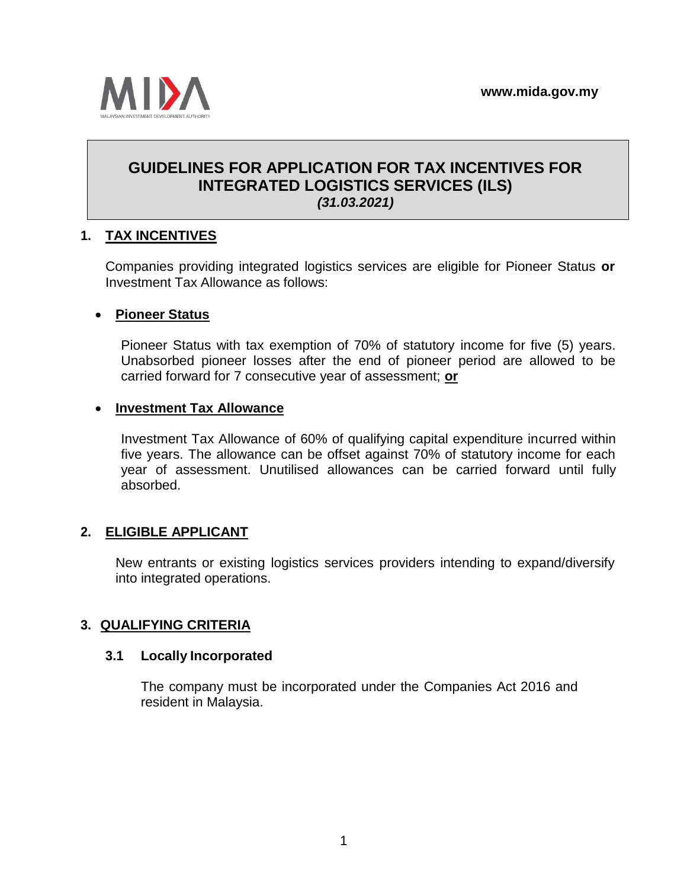

# **GUIDELINES FOR APPLICATION FOR TAX INCENTIVES FOR INTEGRATED LOGISTICS SERVICES (ILS)** *(31.03.2021)*

# **1. TAX INCENTIVES**

Companies providing integrated logistics services are eligible for Pioneer Status **or** Investment Tax Allowance as follows:

#### • **Pioneer Status**

Pioneer Status with tax exemption of 70% of statutory income for five (5) years. Unabsorbed pioneer losses after the end of pioneer period are allowed to be carried forward for 7 consecutive year of assessment; **or**

#### • **Investment Tax Allowance**

Investment Tax Allowance of 60% of qualifying capital expenditure incurred within five years. The allowance can be offset against 70% of statutory income for each year of assessment. Unutilised allowances can be carried forward until fully absorbed.

### **2. ELIGIBLE APPLICANT**

New entrants or existing logistics services providers intending to expand/diversify into integrated operations.

### **3. QUALIFYING CRITERIA**

#### **3.1 Locally Incorporated**

The company must be incorporated under the Companies Act 2016 and resident in Malaysia.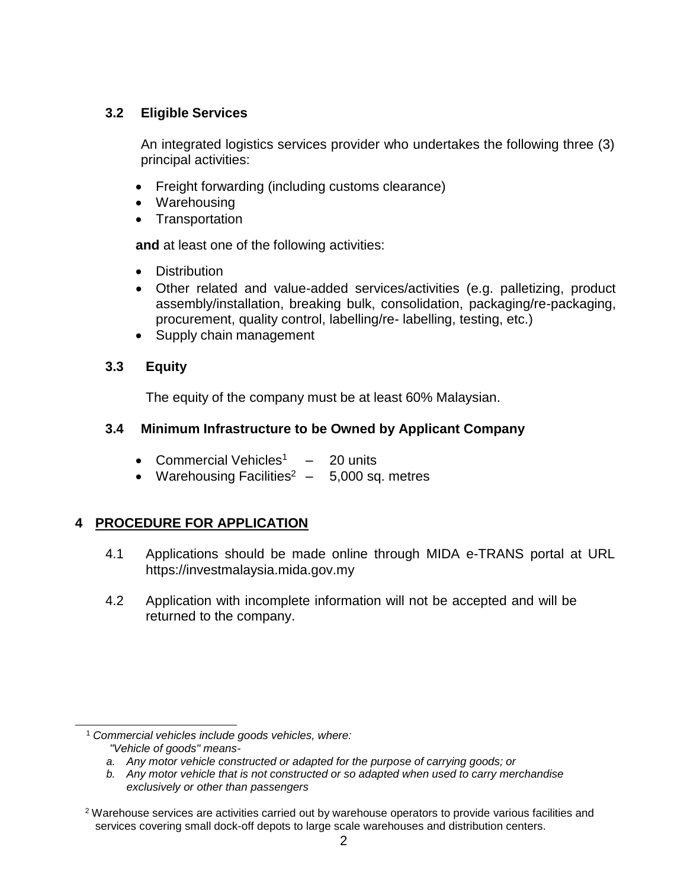### **3.2 Eligible Services**

An integrated logistics services provider who undertakes the following three (3) principal activities:

- Freight forwarding (including customs clearance)
- Warehousing
- Transportation

**and** at least one of the following activities:

- Distribution
- Other related and value-added services/activities (e.g. palletizing, product assembly/installation, breaking bulk, consolidation, packaging/re-packaging, procurement, quality control, labelling/re- labelling, testing, etc.)
- Supply chain management

# **3.3 Equity**

The equity of the company must be at least 60% Malaysian.

# **3.4 Minimum Infrastructure to be Owned by Applicant Company**

- Commercial Vehicles<sup>1</sup>  $-$  20 units
- Warehousing Facilities<sup>2</sup>  $-$  5,000 sq. metres

# **4 PROCEDURE FOR APPLICATION**

- 4.1 Applications should be made online through MIDA e-TRANS portal at URL [https://investmalaysia.mida.gov.my](https://investmalaysia.mida.gov.my/)
- 4.2 Application with incomplete information will not be accepted and will be returned to the company.

<sup>1</sup> *Commercial vehicles include goods vehicles, where: "Vehicle of goods" means-*

*a. Any motor vehicle constructed or adapted for the purpose of carrying goods; or*

*b. Any motor vehicle that is not constructed or so adapted when used to carry merchandise exclusively or other than passengers*

<sup>2</sup> Warehouse services are activities carried out by warehouse operators to provide various facilities and services covering small dock-off depots to large scale warehouses and distribution centers.